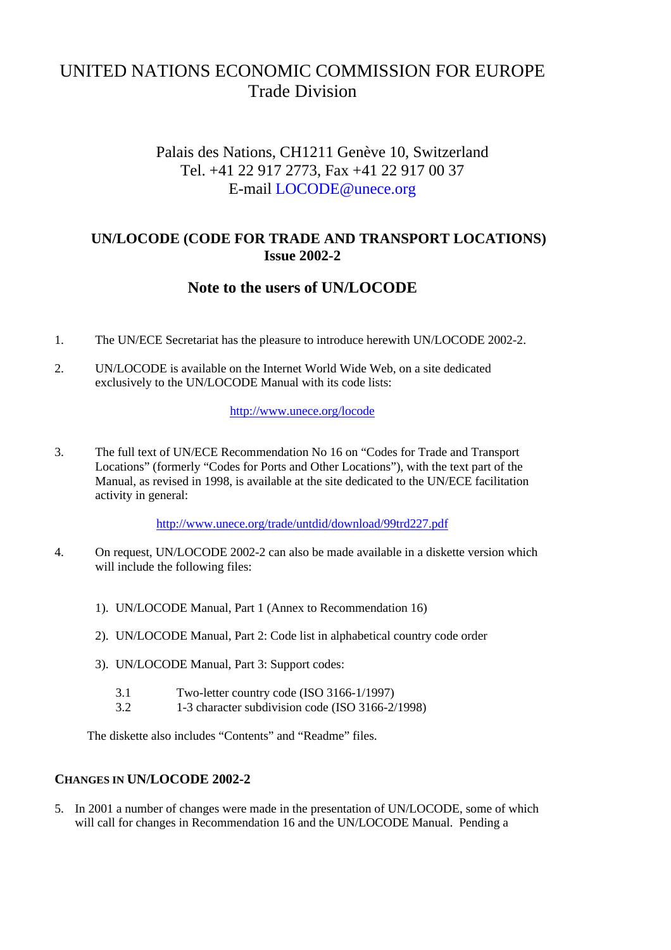# UNITED NATIONS ECONOMIC COMMISSION FOR EUROPE Trade Division

# Palais des Nations, CH1211 Genève 10, Switzerland Tel. +41 22 917 2773, Fax +41 22 917 00 37 E-mail LOCODE@unece.org

### **UN/LOCODE (CODE FOR TRADE AND TRANSPORT LOCATIONS) Issue 2002-2**

# **Note to the users of UN/LOCODE**

- 1. The UN/ECE Secretariat has the pleasure to introduce herewith UN/LOCODE 2002-2.
- 2. UN/LOCODE is available on the Internet World Wide Web, on a site dedicated exclusively to the UN/LOCODE Manual with its code lists:

#### http://www.unece.org/locode

3. The full text of UN/ECE Recommendation No 16 on "Codes for Trade and Transport Locations" (formerly "Codes for Ports and Other Locations"), with the text part of the Manual, as revised in 1998, is available at the site dedicated to the UN/ECE facilitation activity in general:

http://www.unece.org/trade/untdid/download/99trd227.pdf

- 4. On request, UN/LOCODE 2002-2 can also be made available in a diskette version which will include the following files:
	- 1). UN/LOCODE Manual, Part 1 (Annex to Recommendation 16)
	- 2). UN/LOCODE Manual, Part 2: Code list in alphabetical country code order
	- 3). UN/LOCODE Manual, Part 3: Support codes:
		- 3.1 Two-letter country code (ISO 3166-1/1997)
		- 3.2 1-3 character subdivision code (ISO 3166-2/1998)

The diskette also includes "Contents" and "Readme" files.

#### **CHANGES IN UN/LOCODE 2002-2**

5. In 2001 a number of changes were made in the presentation of UN/LOCODE, some of which will call for changes in Recommendation 16 and the UN/LOCODE Manual. Pending a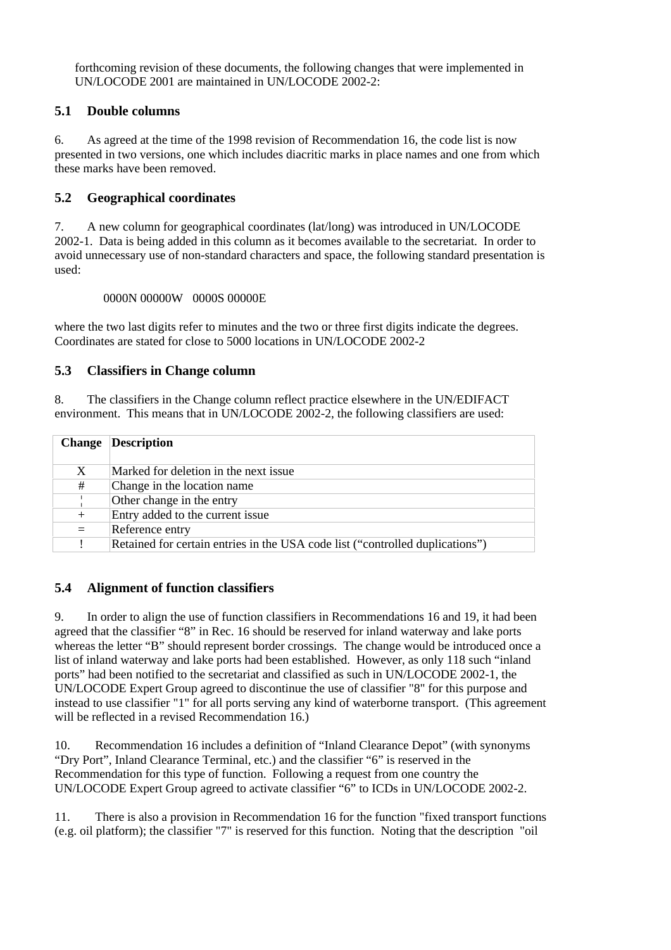forthcoming revision of these documents, the following changes that were implemented in UN/LOCODE 2001 are maintained in UN/LOCODE 2002-2:

#### **5.1 Double columns**

6. As agreed at the time of the 1998 revision of Recommendation 16, the code list is now presented in two versions, one which includes diacritic marks in place names and one from which these marks have been removed.

#### **5.2 Geographical coordinates**

7. A new column for geographical coordinates (lat/long) was introduced in UN/LOCODE 2002-1. Data is being added in this column as it becomes available to the secretariat. In order to avoid unnecessary use of non-standard characters and space, the following standard presentation is used:

0000N 00000W 0000S 00000E

where the two last digits refer to minutes and the two or three first digits indicate the degrees. Coordinates are stated for close to 5000 locations in UN/LOCODE 2002-2

#### **5.3 Classifiers in Change column**

8. The classifiers in the Change column reflect practice elsewhere in the UN/EDIFACT environment. This means that in UN/LOCODE 2002-2, the following classifiers are used:

| <b>Change</b> | <b>Description</b>                                                            |
|---------------|-------------------------------------------------------------------------------|
| X             | Marked for deletion in the next issue.                                        |
| #             | Change in the location name.                                                  |
|               | Other change in the entry                                                     |
| $^{+}$        | Entry added to the current issue                                              |
| $=$           | Reference entry                                                               |
|               | Retained for certain entries in the USA code list ("controlled duplications") |

#### **5.4 Alignment of function classifiers**

9. In order to align the use of function classifiers in Recommendations 16 and 19, it had been agreed that the classifier "8" in Rec. 16 should be reserved for inland waterway and lake ports whereas the letter "B" should represent border crossings. The change would be introduced once a list of inland waterway and lake ports had been established. However, as only 118 such "inland ports" had been notified to the secretariat and classified as such in UN/LOCODE 2002-1, the UN/LOCODE Expert Group agreed to discontinue the use of classifier "8" for this purpose and instead to use classifier "1" for all ports serving any kind of waterborne transport. (This agreement will be reflected in a revised Recommendation 16.)

10. Recommendation 16 includes a definition of "Inland Clearance Depot" (with synonyms "Dry Port", Inland Clearance Terminal, etc.) and the classifier "6" is reserved in the Recommendation for this type of function. Following a request from one country the UN/LOCODE Expert Group agreed to activate classifier "6" to ICDs in UN/LOCODE 2002-2.

11. There is also a provision in Recommendation 16 for the function "fixed transport functions (e.g. oil platform); the classifier "7" is reserved for this function. Noting that the description "oil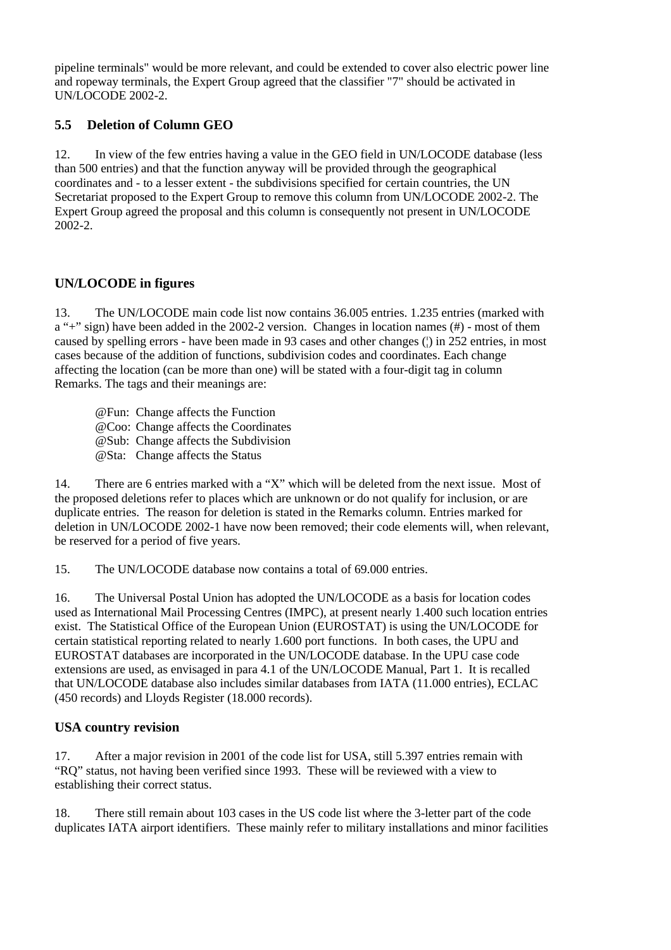pipeline terminals" would be more relevant, and could be extended to cover also electric power line and ropeway terminals, the Expert Group agreed that the classifier "7" should be activated in UN/LOCODE 2002-2.

### **5.5 Deletion of Column GEO**

12. In view of the few entries having a value in the GEO field in UN/LOCODE database (less than 500 entries) and that the function anyway will be provided through the geographical coordinates and - to a lesser extent - the subdivisions specified for certain countries, the UN Secretariat proposed to the Expert Group to remove this column from UN/LOCODE 2002-2. The Expert Group agreed the proposal and this column is consequently not present in UN/LOCODE 2002-2.

### **UN/LOCODE in figures**

13. The UN/LOCODE main code list now contains 36.005 entries. 1.235 entries (marked with a "+" sign) have been added in the 2002-2 version. Changes in location names (#) - most of them caused by spelling errors - have been made in 93 cases and other changes (¦) in 252 entries, in most cases because of the addition of functions, subdivision codes and coordinates. Each change affecting the location (can be more than one) will be stated with a four-digit tag in column Remarks. The tags and their meanings are:

@Fun: Change affects the Function

@Coo: Change affects the Coordinates

@Sub: Change affects the Subdivision

@Sta: Change affects the Status

14. There are 6 entries marked with a "X" which will be deleted from the next issue. Most of the proposed deletions refer to places which are unknown or do not qualify for inclusion, or are duplicate entries. The reason for deletion is stated in the Remarks column. Entries marked for deletion in UN/LOCODE 2002-1 have now been removed; their code elements will, when relevant, be reserved for a period of five years.

15. The UN/LOCODE database now contains a total of 69.000 entries.

16. The Universal Postal Union has adopted the UN/LOCODE as a basis for location codes used as International Mail Processing Centres (IMPC), at present nearly 1.400 such location entries exist. The Statistical Office of the European Union (EUROSTAT) is using the UN/LOCODE for certain statistical reporting related to nearly 1.600 port functions. In both cases, the UPU and EUROSTAT databases are incorporated in the UN/LOCODE database. In the UPU case code extensions are used, as envisaged in para 4.1 of the UN/LOCODE Manual, Part 1. It is recalled that UN/LOCODE database also includes similar databases from IATA (11.000 entries), ECLAC (450 records) and Lloyds Register (18.000 records).

#### **USA country revision**

17. After a major revision in 2001 of the code list for USA, still 5.397 entries remain with "RQ" status, not having been verified since 1993. These will be reviewed with a view to establishing their correct status.

18. There still remain about 103 cases in the US code list where the 3-letter part of the code duplicates IATA airport identifiers. These mainly refer to military installations and minor facilities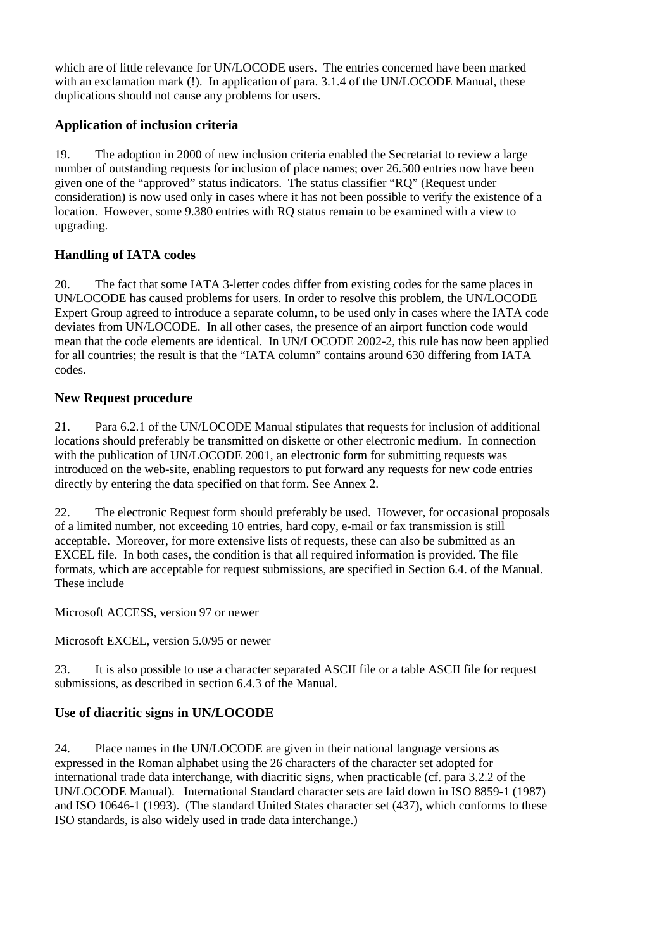which are of little relevance for UN/LOCODE users. The entries concerned have been marked with an exclamation mark (!). In application of para, 3.1.4 of the UN/LOCODE Manual, these duplications should not cause any problems for users.

### **Application of inclusion criteria**

19. The adoption in 2000 of new inclusion criteria enabled the Secretariat to review a large number of outstanding requests for inclusion of place names; over 26.500 entries now have been given one of the "approved" status indicators. The status classifier "RQ" (Request under consideration) is now used only in cases where it has not been possible to verify the existence of a location. However, some 9.380 entries with RQ status remain to be examined with a view to upgrading.

### **Handling of IATA codes**

20. The fact that some IATA 3-letter codes differ from existing codes for the same places in UN/LOCODE has caused problems for users. In order to resolve this problem, the UN/LOCODE Expert Group agreed to introduce a separate column, to be used only in cases where the IATA code deviates from UN/LOCODE. In all other cases, the presence of an airport function code would mean that the code elements are identical. In UN/LOCODE 2002-2, this rule has now been applied for all countries; the result is that the "IATA column" contains around 630 differing from IATA codes.

### **New Request procedure**

21. Para 6.2.1 of the UN/LOCODE Manual stipulates that requests for inclusion of additional locations should preferably be transmitted on diskette or other electronic medium. In connection with the publication of UN/LOCODE 2001, an electronic form for submitting requests was introduced on the web-site, enabling requestors to put forward any requests for new code entries directly by entering the data specified on that form. See Annex 2.

22. The electronic Request form should preferably be used. However, for occasional proposals of a limited number, not exceeding 10 entries, hard copy, e-mail or fax transmission is still acceptable. Moreover, for more extensive lists of requests, these can also be submitted as an EXCEL file. In both cases, the condition is that all required information is provided. The file formats, which are acceptable for request submissions, are specified in Section 6.4. of the Manual. These include

Microsoft ACCESS, version 97 or newer

Microsoft EXCEL, version 5.0/95 or newer

23. It is also possible to use a character separated ASCII file or a table ASCII file for request submissions, as described in section 6.4.3 of the Manual.

### **Use of diacritic signs in UN/LOCODE**

24. Place names in the UN/LOCODE are given in their national language versions as expressed in the Roman alphabet using the 26 characters of the character set adopted for international trade data interchange, with diacritic signs, when practicable (cf. para 3.2.2 of the UN/LOCODE Manual). International Standard character sets are laid down in ISO 8859-1 (1987) and ISO 10646-1 (1993). (The standard United States character set (437), which conforms to these ISO standards, is also widely used in trade data interchange.)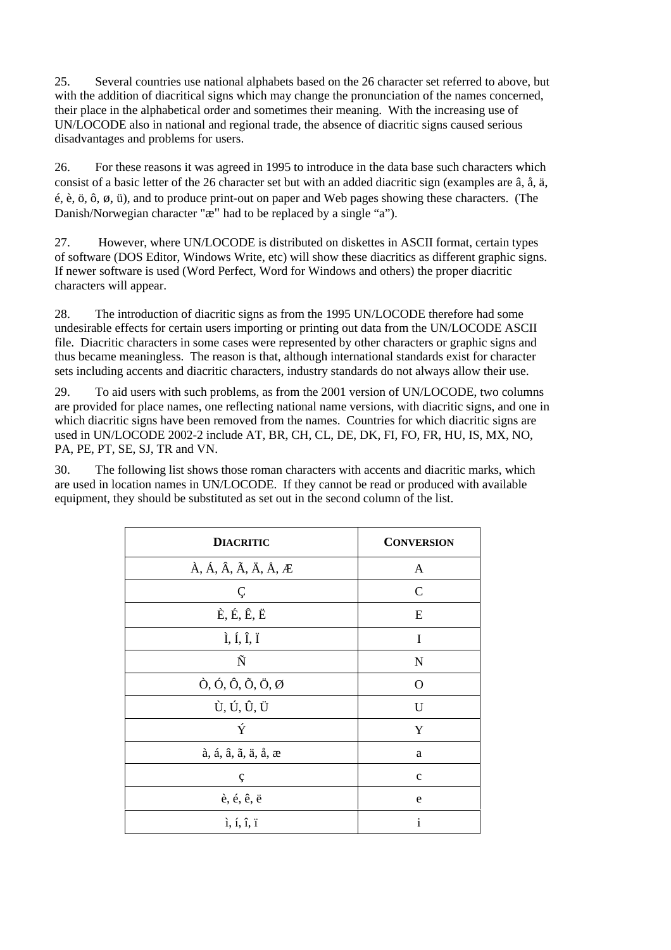25. Several countries use national alphabets based on the 26 character set referred to above, but with the addition of diacritical signs which may change the pronunciation of the names concerned, their place in the alphabetical order and sometimes their meaning. With the increasing use of UN/LOCODE also in national and regional trade, the absence of diacritic signs caused serious disadvantages and problems for users.

26. For these reasons it was agreed in 1995 to introduce in the data base such characters which consist of a basic letter of the 26 character set but with an added diacritic sign (examples are â, å, ä, é, è, ö, ô, ø, ü), and to produce print-out on paper and Web pages showing these characters. (The Danish/Norwegian character "æ" had to be replaced by a single "a").

27. However, where UN/LOCODE is distributed on diskettes in ASCII format, certain types of software (DOS Editor, Windows Write, etc) will show these diacritics as different graphic signs. If newer software is used (Word Perfect, Word for Windows and others) the proper diacritic characters will appear.

28. The introduction of diacritic signs as from the 1995 UN/LOCODE therefore had some undesirable effects for certain users importing or printing out data from the UN/LOCODE ASCII file. Diacritic characters in some cases were represented by other characters or graphic signs and thus became meaningless. The reason is that, although international standards exist for character sets including accents and diacritic characters, industry standards do not always allow their use.

29. To aid users with such problems, as from the 2001 version of UN/LOCODE, two columns are provided for place names, one reflecting national name versions, with diacritic signs, and one in which diacritic signs have been removed from the names. Countries for which diacritic signs are used in UN/LOCODE 2002-2 include AT, BR, CH, CL, DE, DK, FI, FO, FR, HU, IS, MX, NO, PA, PE, PT, SE, SJ, TR and VN.

30. The following list shows those roman characters with accents and diacritic marks, which are used in location names in UN/LOCODE. If they cannot be read or produced with available equipment, they should be substituted as set out in the second column of the list.

| <b>DIACRITIC</b>                                                            | <b>CONVERSION</b> |
|-----------------------------------------------------------------------------|-------------------|
| $\hat{A}$ , Á, Â, Ã, Ä, Å, Æ                                                | A                 |
| Ç                                                                           | $\mathcal{C}$     |
| $\dot{E}$ , É, Ê, Ë                                                         | E                 |
| $\tilde{I}$ , Í, $\tilde{I}$ , Ï                                            | I                 |
| Ñ                                                                           | N                 |
| $\hat{O}$ , $\hat{O}$ , $\hat{O}$ , $\tilde{O}$ , $\tilde{O}$ , $\emptyset$ | O                 |
| Ù, Ú, Û, Ü                                                                  | U                 |
| Ý                                                                           | Y                 |
| à, á, â, ã, ä, å, æ                                                         | $\rm{a}$          |
| ç                                                                           | $\mathbf c$       |
| è, é, ê, ë                                                                  | e                 |
| $\hat{i}, \hat{i}, \hat{i}, \hat{i}$                                        | $\mathbf{i}$      |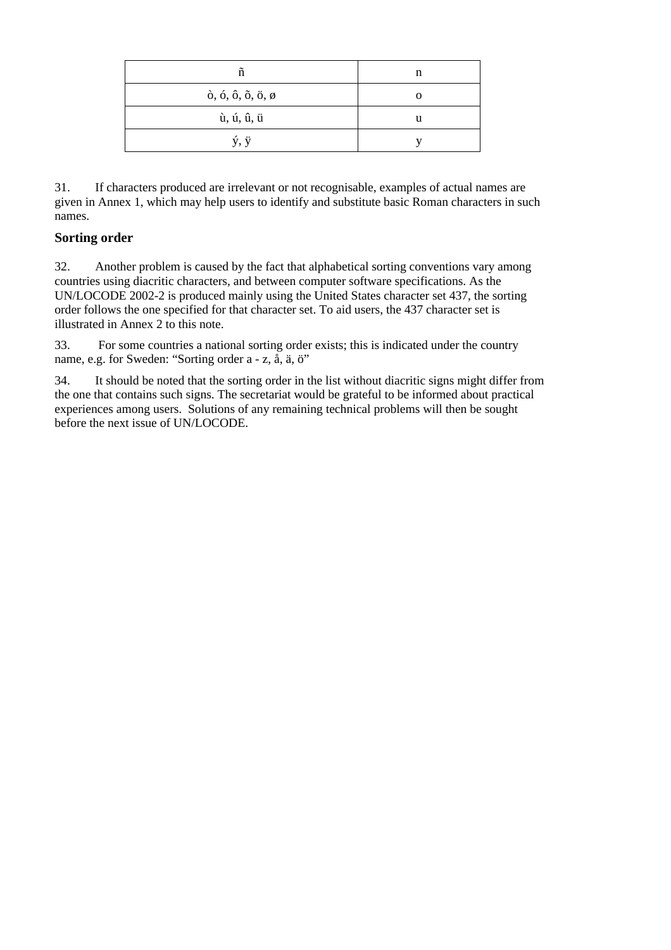| ñ                                                                    | n |
|----------------------------------------------------------------------|---|
| $\delta$ , $\delta$ , $\delta$ , $\delta$ , $\ddot{\sigma}$ , $\phi$ |   |
| ù, ú, û, ü                                                           |   |
| ý, ÿ                                                                 |   |

31. If characters produced are irrelevant or not recognisable, examples of actual names are given in Annex 1, which may help users to identify and substitute basic Roman characters in such names.

#### **Sorting order**

32. Another problem is caused by the fact that alphabetical sorting conventions vary among countries using diacritic characters, and between computer software specifications. As the UN/LOCODE 2002-2 is produced mainly using the United States character set 437, the sorting order follows the one specified for that character set. To aid users, the 437 character set is illustrated in Annex 2 to this note.

33. For some countries a national sorting order exists; this is indicated under the country name, e.g. for Sweden: "Sorting order a - z, å, ä, ö"

34. It should be noted that the sorting order in the list without diacritic signs might differ from the one that contains such signs. The secretariat would be grateful to be informed about practical experiences among users. Solutions of any remaining technical problems will then be sought before the next issue of UN/LOCODE.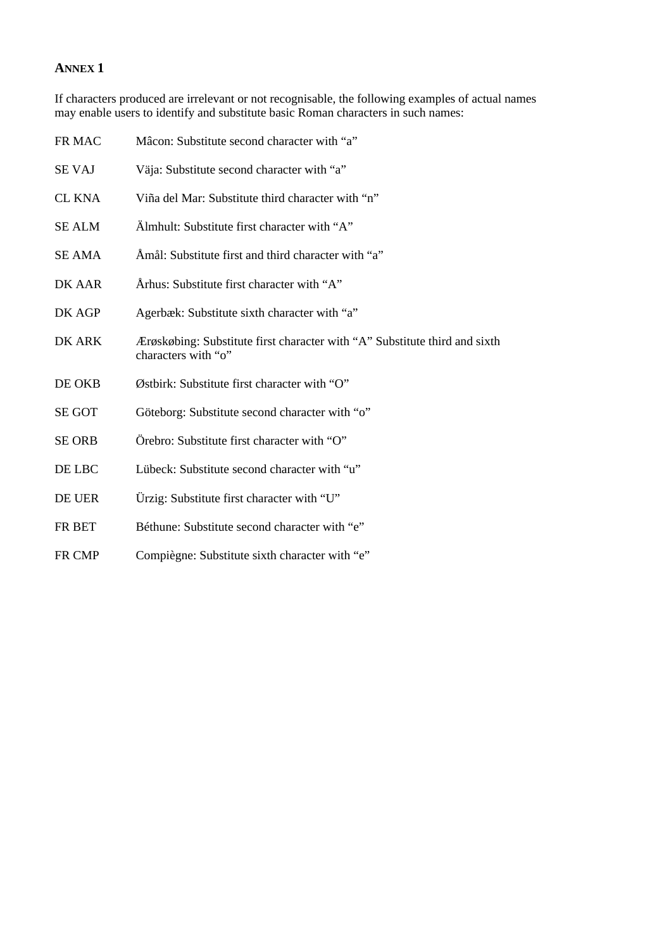#### **ANNEX 1**

If characters produced are irrelevant or not recognisable, the following examples of actual names may enable users to identify and substitute basic Roman characters in such names:

| FR MAC        | Mâcon: Substitute second character with "a"                                                       |
|---------------|---------------------------------------------------------------------------------------------------|
| <b>SE VAJ</b> | Väja: Substitute second character with "a"                                                        |
| <b>CL KNA</b> | Viña del Mar: Substitute third character with "n"                                                 |
| <b>SE ALM</b> | Almhult: Substitute first character with "A"                                                      |
| <b>SE AMA</b> | Amål: Substitute first and third character with "a"                                               |
| DK AAR        | Arhus: Substitute first character with "A"                                                        |
| DK AGP        | Agerbæk: Substitute sixth character with "a"                                                      |
| DK ARK        | Ærøskøbing: Substitute first character with "A" Substitute third and sixth<br>characters with "o" |
| DE OKB        | Østbirk: Substitute first character with "O"                                                      |
| <b>SE GOT</b> | Göteborg: Substitute second character with "o"                                                    |
| <b>SE ORB</b> | Örebro: Substitute first character with "O"                                                       |
| DE LBC        | Lübeck: Substitute second character with "u"                                                      |
| DE UER        | Ürzig: Substitute first character with "U"                                                        |
| FR BET        | Béthune: Substitute second character with "e"                                                     |
| FR CMP        | Compiègne: Substitute sixth character with "e"                                                    |